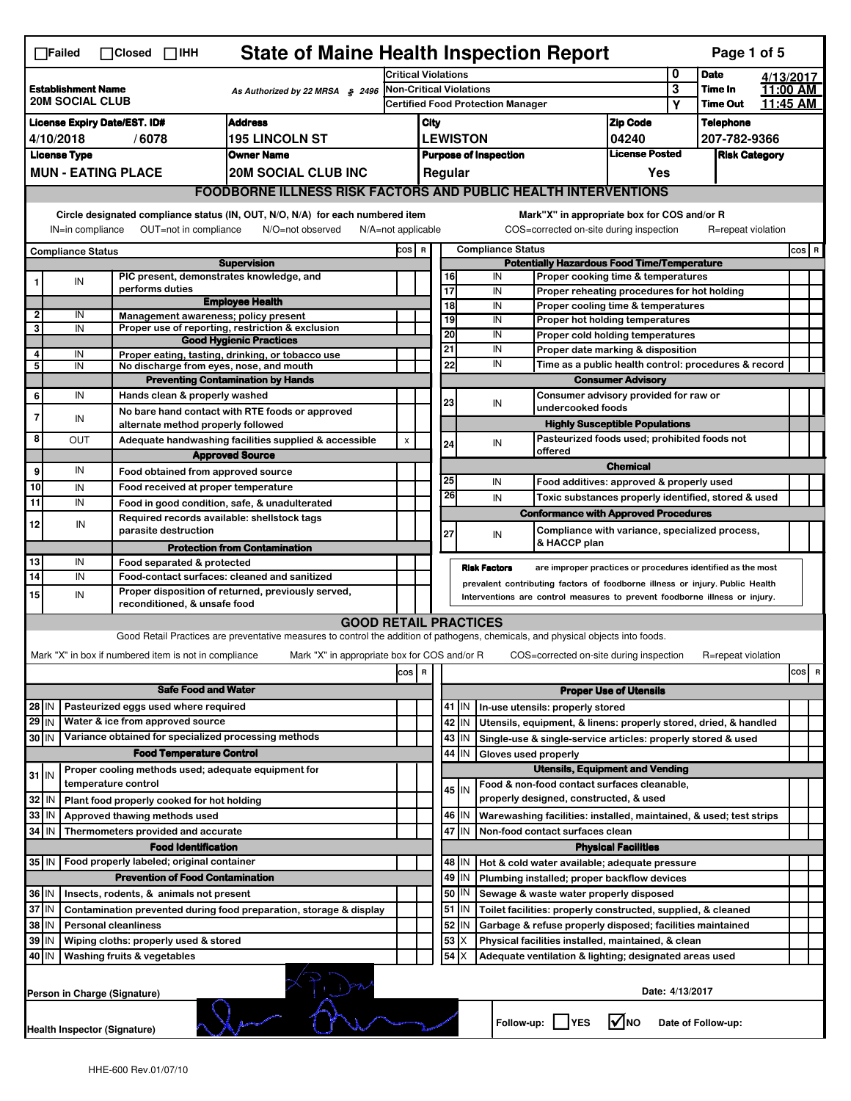|                                                                                                                 | <b>State of Maine Health Inspection Report</b><br>Page 1 of 5<br>$\Box$ Failed<br>$\Box$ Closed $\Box$ IHH                                                                                                                                                                                |  |                                                                     |                                                                                                                                   |                                                                               |                                          |                 |                                                    |                                                                    |                                                                       |                                                                                       |                  |                                                             |           |       |   |
|-----------------------------------------------------------------------------------------------------------------|-------------------------------------------------------------------------------------------------------------------------------------------------------------------------------------------------------------------------------------------------------------------------------------------|--|---------------------------------------------------------------------|-----------------------------------------------------------------------------------------------------------------------------------|-------------------------------------------------------------------------------|------------------------------------------|-----------------|----------------------------------------------------|--------------------------------------------------------------------|-----------------------------------------------------------------------|---------------------------------------------------------------------------------------|------------------|-------------------------------------------------------------|-----------|-------|---|
|                                                                                                                 |                                                                                                                                                                                                                                                                                           |  |                                                                     |                                                                                                                                   |                                                                               | <b>Critical Violations</b>               |                 |                                                    |                                                                    |                                                                       |                                                                                       | 0                | <b>Date</b>                                                 | 4/13/2017 |       |   |
| <b>Establishment Name</b><br>As Authorized by 22 MRSA § 2496<br><b>20M SOCIAL CLUB</b>                          |                                                                                                                                                                                                                                                                                           |  |                                                                     | Non-Critical Violations                                                                                                           |                                                                               |                                          |                 |                                                    |                                                                    | 3                                                                     | Time In                                                                               | 11:00 AM         |                                                             |           |       |   |
|                                                                                                                 |                                                                                                                                                                                                                                                                                           |  |                                                                     |                                                                                                                                   |                                                                               | <b>Certified Food Protection Manager</b> |                 |                                                    |                                                                    |                                                                       |                                                                                       | Υ                | <b>Time Out</b>                                             | 11:45 AM  |       |   |
| <b>Address</b><br><b>License Expiry Date/EST. ID#</b>                                                           |                                                                                                                                                                                                                                                                                           |  |                                                                     |                                                                                                                                   | City                                                                          |                                          |                 |                                                    |                                                                    | <b>Zip Code</b>                                                       |                                                                                       | <b>Telephone</b> |                                                             |           |       |   |
| <b>195 LINCOLN ST</b><br>4/10/2018<br>/6078                                                                     |                                                                                                                                                                                                                                                                                           |  |                                                                     | <b>LEWISTON</b><br>04240                                                                                                          |                                                                               |                                          |                 |                                                    |                                                                    |                                                                       | 207-782-9366                                                                          |                  |                                                             |           |       |   |
| <b>License Type</b><br><b>Owner Name</b><br><b>MUN - EATING PLACE</b>                                           |                                                                                                                                                                                                                                                                                           |  |                                                                     |                                                                                                                                   | <b>License Posted</b><br><b>Purpose of Inspection</b><br><b>Risk Category</b> |                                          |                 |                                                    |                                                                    |                                                                       |                                                                                       |                  |                                                             |           |       |   |
|                                                                                                                 |                                                                                                                                                                                                                                                                                           |  |                                                                     | <b>20M SOCIAL CLUB INC</b>                                                                                                        |                                                                               |                                          | Regular         |                                                    |                                                                    |                                                                       | Yes                                                                                   |                  |                                                             |           |       |   |
|                                                                                                                 | <b>FOODBORNE ILLNESS RISK FACTORS AND PUBLIC HEALTH INTERVENTIONS</b>                                                                                                                                                                                                                     |  |                                                                     |                                                                                                                                   |                                                                               |                                          |                 |                                                    |                                                                    |                                                                       |                                                                                       |                  |                                                             |           |       |   |
|                                                                                                                 | Circle designated compliance status (IN, OUT, N/O, N/A) for each numbered item<br>Mark"X" in appropriate box for COS and/or R<br>IN=in compliance<br>OUT=not in compliance<br>N/O=not observed<br>COS=corrected on-site during inspection<br>R=repeat violation<br>$N/A = not$ applicable |  |                                                                     |                                                                                                                                   |                                                                               |                                          |                 |                                                    |                                                                    |                                                                       |                                                                                       |                  |                                                             |           |       |   |
|                                                                                                                 |                                                                                                                                                                                                                                                                                           |  |                                                                     |                                                                                                                                   |                                                                               | COS R                                    |                 |                                                    | <b>Compliance Status</b>                                           |                                                                       |                                                                                       |                  |                                                             |           | COS R |   |
| <b>Compliance Status</b><br><b>Supervision</b>                                                                  |                                                                                                                                                                                                                                                                                           |  |                                                                     |                                                                                                                                   |                                                                               |                                          |                 | <b>Potentially Hazardous Food Time/Temperature</b> |                                                                    |                                                                       |                                                                                       |                  |                                                             |           |       |   |
|                                                                                                                 | IN                                                                                                                                                                                                                                                                                        |  | PIC present, demonstrates knowledge, and                            |                                                                                                                                   |                                                                               |                                          | 16              |                                                    | IN                                                                 |                                                                       | Proper cooking time & temperatures                                                    |                  |                                                             |           |       |   |
|                                                                                                                 |                                                                                                                                                                                                                                                                                           |  | performs duties                                                     | <b>Employee Health</b>                                                                                                            |                                                                               |                                          | $\overline{17}$ |                                                    | IN                                                                 |                                                                       | Proper reheating procedures for hot holding                                           |                  |                                                             |           |       |   |
| $\mathbf{2}$                                                                                                    | IN                                                                                                                                                                                                                                                                                        |  | Management awareness; policy present                                |                                                                                                                                   |                                                                               |                                          | 18              |                                                    | IN                                                                 |                                                                       | Proper cooling time & temperatures                                                    |                  |                                                             |           |       |   |
| 3                                                                                                               | IN                                                                                                                                                                                                                                                                                        |  |                                                                     | Proper use of reporting, restriction & exclusion                                                                                  |                                                                               |                                          | 19              |                                                    | IN                                                                 |                                                                       | Proper hot holding temperatures                                                       |                  |                                                             |           |       |   |
|                                                                                                                 |                                                                                                                                                                                                                                                                                           |  |                                                                     | <b>Good Hygienic Practices</b>                                                                                                    |                                                                               |                                          | 20<br>21        |                                                    | IN<br>IN                                                           | Proper cold holding temperatures<br>Proper date marking & disposition |                                                                                       |                  |                                                             |           |       |   |
| 4                                                                                                               | IN                                                                                                                                                                                                                                                                                        |  |                                                                     | Proper eating, tasting, drinking, or tobacco use                                                                                  |                                                                               |                                          | 22              |                                                    | IN                                                                 |                                                                       |                                                                                       |                  |                                                             |           |       |   |
| 5                                                                                                               | IN                                                                                                                                                                                                                                                                                        |  | No discharge from eyes, nose, and mouth                             |                                                                                                                                   |                                                                               |                                          |                 |                                                    |                                                                    |                                                                       |                                                                                       |                  | Time as a public health control: procedures & record        |           |       |   |
|                                                                                                                 |                                                                                                                                                                                                                                                                                           |  |                                                                     | <b>Preventing Contamination by Hands</b>                                                                                          |                                                                               |                                          |                 |                                                    |                                                                    |                                                                       | <b>Consumer Advisory</b>                                                              |                  |                                                             |           |       |   |
| 6                                                                                                               | IN                                                                                                                                                                                                                                                                                        |  | Hands clean & properly washed                                       |                                                                                                                                   |                                                                               |                                          | 23              |                                                    | IN<br>undercooked foods                                            |                                                                       | Consumer advisory provided for raw or                                                 |                  |                                                             |           |       |   |
| 7                                                                                                               | IN                                                                                                                                                                                                                                                                                        |  |                                                                     | No bare hand contact with RTE foods or approved                                                                                   |                                                                               |                                          |                 |                                                    |                                                                    |                                                                       |                                                                                       |                  |                                                             |           |       |   |
|                                                                                                                 |                                                                                                                                                                                                                                                                                           |  | alternate method properly followed                                  |                                                                                                                                   |                                                                               |                                          |                 |                                                    |                                                                    |                                                                       | <b>Highly Susceptible Populations</b><br>Pasteurized foods used; prohibited foods not |                  |                                                             |           |       |   |
| 8                                                                                                               | OUT                                                                                                                                                                                                                                                                                       |  |                                                                     | Adequate handwashing facilities supplied & accessible                                                                             | X                                                                             |                                          | 24              |                                                    | IN<br>offered                                                      |                                                                       |                                                                                       |                  |                                                             |           |       |   |
|                                                                                                                 |                                                                                                                                                                                                                                                                                           |  |                                                                     | <b>Approved Source</b>                                                                                                            |                                                                               |                                          |                 |                                                    |                                                                    |                                                                       | <b>Chemical</b>                                                                       |                  |                                                             |           |       |   |
| 9                                                                                                               | IN                                                                                                                                                                                                                                                                                        |  | Food obtained from approved source                                  |                                                                                                                                   |                                                                               |                                          | 25              |                                                    | IN                                                                 |                                                                       | Food additives: approved & properly used                                              |                  |                                                             |           |       |   |
| 10                                                                                                              | IN                                                                                                                                                                                                                                                                                        |  | Food received at proper temperature                                 |                                                                                                                                   |                                                                               |                                          | 26              |                                                    | IN                                                                 |                                                                       |                                                                                       |                  | Toxic substances properly identified, stored & used         |           |       |   |
| 11                                                                                                              | IN                                                                                                                                                                                                                                                                                        |  | Food in good condition, safe, & unadulterated                       |                                                                                                                                   |                                                                               |                                          |                 |                                                    |                                                                    |                                                                       |                                                                                       |                  |                                                             |           |       |   |
| 12                                                                                                              | IN                                                                                                                                                                                                                                                                                        |  | Required records available: shellstock tags<br>parasite destruction |                                                                                                                                   |                                                                               |                                          | 27              |                                                    | <b>Conformance with Approved Procedures</b><br>IN                  |                                                                       |                                                                                       |                  | Compliance with variance, specialized process,              |           |       |   |
|                                                                                                                 |                                                                                                                                                                                                                                                                                           |  |                                                                     | <b>Protection from Contamination</b>                                                                                              |                                                                               |                                          |                 |                                                    | & HACCP plan                                                       |                                                                       |                                                                                       |                  |                                                             |           |       |   |
| 13                                                                                                              | IN                                                                                                                                                                                                                                                                                        |  | Food separated & protected                                          |                                                                                                                                   |                                                                               |                                          |                 |                                                    | <b>Risk Factors</b>                                                |                                                                       |                                                                                       |                  | are improper practices or procedures identified as the most |           |       |   |
| 14                                                                                                              | IN<br>Food-contact surfaces: cleaned and sanitized<br>prevalent contributing factors of foodborne illness or injury. Public Health                                                                                                                                                        |  |                                                                     |                                                                                                                                   |                                                                               |                                          |                 |                                                    |                                                                    |                                                                       |                                                                                       |                  |                                                             |           |       |   |
| 15                                                                                                              | Proper disposition of returned, previously served,<br>IN<br>Interventions are control measures to prevent foodborne illness or injury.<br>reconditioned, & unsafe food                                                                                                                    |  |                                                                     |                                                                                                                                   |                                                                               |                                          |                 |                                                    |                                                                    |                                                                       |                                                                                       |                  |                                                             |           |       |   |
|                                                                                                                 |                                                                                                                                                                                                                                                                                           |  |                                                                     |                                                                                                                                   |                                                                               |                                          |                 |                                                    |                                                                    |                                                                       |                                                                                       |                  |                                                             |           |       |   |
|                                                                                                                 |                                                                                                                                                                                                                                                                                           |  |                                                                     | <b>GOOD RETAIL PRACTICES</b>                                                                                                      |                                                                               |                                          |                 |                                                    |                                                                    |                                                                       |                                                                                       |                  |                                                             |           |       |   |
|                                                                                                                 |                                                                                                                                                                                                                                                                                           |  |                                                                     | Good Retail Practices are preventative measures to control the addition of pathogens, chemicals, and physical objects into foods. |                                                                               |                                          |                 |                                                    |                                                                    |                                                                       |                                                                                       |                  |                                                             |           |       |   |
|                                                                                                                 |                                                                                                                                                                                                                                                                                           |  | Mark "X" in box if numbered item is not in compliance               | Mark "X" in appropriate box for COS and/or R                                                                                      |                                                                               |                                          |                 |                                                    | COS=corrected on-site during inspection                            |                                                                       |                                                                                       |                  | R=repeat violation                                          |           |       |   |
|                                                                                                                 |                                                                                                                                                                                                                                                                                           |  |                                                                     |                                                                                                                                   | cos                                                                           | R                                        |                 |                                                    |                                                                    |                                                                       |                                                                                       |                  |                                                             |           | cos   | R |
|                                                                                                                 |                                                                                                                                                                                                                                                                                           |  | <b>Safe Food and Water</b>                                          |                                                                                                                                   |                                                                               |                                          |                 |                                                    |                                                                    |                                                                       | <b>Proper Use of Utensils</b>                                                         |                  |                                                             |           |       |   |
| 28 IN                                                                                                           |                                                                                                                                                                                                                                                                                           |  | Pasteurized eggs used where required                                |                                                                                                                                   |                                                                               |                                          |                 | 41   IN                                            | In-use utensils: properly stored                                   |                                                                       |                                                                                       |                  |                                                             |           |       |   |
| $29$ IN                                                                                                         |                                                                                                                                                                                                                                                                                           |  | Water & ice from approved source                                    |                                                                                                                                   |                                                                               |                                          |                 | 42 IN                                              | Utensils, equipment, & linens: properly stored, dried, & handled   |                                                                       |                                                                                       |                  |                                                             |           |       |   |
| 30 IN                                                                                                           |                                                                                                                                                                                                                                                                                           |  | Variance obtained for specialized processing methods                |                                                                                                                                   |                                                                               |                                          |                 | 43   IN                                            | Single-use & single-service articles: properly stored & used       |                                                                       |                                                                                       |                  |                                                             |           |       |   |
|                                                                                                                 |                                                                                                                                                                                                                                                                                           |  | <b>Food Temperature Control</b>                                     |                                                                                                                                   |                                                                               |                                          | 44              | IN                                                 | Gloves used properly                                               |                                                                       |                                                                                       |                  |                                                             |           |       |   |
|                                                                                                                 |                                                                                                                                                                                                                                                                                           |  | Proper cooling methods used; adequate equipment for                 |                                                                                                                                   |                                                                               |                                          |                 |                                                    |                                                                    |                                                                       | <b>Utensils, Equipment and Vending</b>                                                |                  |                                                             |           |       |   |
| $31$ IN                                                                                                         |                                                                                                                                                                                                                                                                                           |  | temperature control                                                 |                                                                                                                                   |                                                                               |                                          |                 |                                                    | Food & non-food contact surfaces cleanable,                        |                                                                       |                                                                                       |                  |                                                             |           |       |   |
| 32                                                                                                              | ۱N                                                                                                                                                                                                                                                                                        |  | Plant food properly cooked for hot holding                          |                                                                                                                                   |                                                                               |                                          |                 | 45   IN                                            | properly designed, constructed, & used                             |                                                                       |                                                                                       |                  |                                                             |           |       |   |
| 33                                                                                                              | IN                                                                                                                                                                                                                                                                                        |  | Approved thawing methods used                                       |                                                                                                                                   |                                                                               |                                          |                 | 46 IN                                              | Warewashing facilities: installed, maintained, & used; test strips |                                                                       |                                                                                       |                  |                                                             |           |       |   |
| 34 IN                                                                                                           |                                                                                                                                                                                                                                                                                           |  | Thermometers provided and accurate                                  |                                                                                                                                   |                                                                               |                                          |                 | 47 IN                                              | Non-food contact surfaces clean                                    |                                                                       |                                                                                       |                  |                                                             |           |       |   |
|                                                                                                                 |                                                                                                                                                                                                                                                                                           |  | <b>Food Identification</b>                                          |                                                                                                                                   |                                                                               |                                          |                 |                                                    |                                                                    |                                                                       | <b>Physical Facilities</b>                                                            |                  |                                                             |           |       |   |
| 35 IN                                                                                                           |                                                                                                                                                                                                                                                                                           |  | Food properly labeled; original container                           |                                                                                                                                   |                                                                               |                                          |                 | 48   IN                                            | Hot & cold water available; adequate pressure                      |                                                                       |                                                                                       |                  |                                                             |           |       |   |
|                                                                                                                 |                                                                                                                                                                                                                                                                                           |  | <b>Prevention of Food Contamination</b>                             |                                                                                                                                   |                                                                               |                                          | 49              | IN                                                 | Plumbing installed; proper backflow devices                        |                                                                       |                                                                                       |                  |                                                             |           |       |   |
| 36 IN                                                                                                           |                                                                                                                                                                                                                                                                                           |  |                                                                     |                                                                                                                                   |                                                                               |                                          | 50              | IN                                                 |                                                                    |                                                                       |                                                                                       |                  |                                                             |           |       |   |
|                                                                                                                 | Insects, rodents, & animals not present<br>Sewage & waste water properly disposed<br>37 IN<br>51 IN<br>Contamination prevented during food preparation, storage & display<br>Toilet facilities: properly constructed, supplied, & cleaned                                                 |  |                                                                     |                                                                                                                                   |                                                                               |                                          |                 |                                                    |                                                                    |                                                                       |                                                                                       |                  |                                                             |           |       |   |
|                                                                                                                 |                                                                                                                                                                                                                                                                                           |  |                                                                     |                                                                                                                                   |                                                                               |                                          |                 |                                                    |                                                                    |                                                                       |                                                                                       |                  |                                                             |           |       |   |
| 38 IN                                                                                                           |                                                                                                                                                                                                                                                                                           |  | <b>Personal cleanliness</b>                                         |                                                                                                                                   |                                                                               |                                          | 52              | ΙN                                                 | Garbage & refuse properly disposed; facilities maintained          |                                                                       |                                                                                       |                  |                                                             |           |       |   |
| 53<br>39 IN<br>X<br>Wiping cloths: properly used & stored<br>Physical facilities installed, maintained, & clean |                                                                                                                                                                                                                                                                                           |  |                                                                     |                                                                                                                                   |                                                                               |                                          |                 |                                                    |                                                                    |                                                                       |                                                                                       |                  |                                                             |           |       |   |
| 40 IN                                                                                                           |                                                                                                                                                                                                                                                                                           |  | Washing fruits & vegetables                                         |                                                                                                                                   |                                                                               |                                          | 54              | X                                                  | Adequate ventilation & lighting; designated areas used             |                                                                       |                                                                                       |                  |                                                             |           |       |   |
|                                                                                                                 | Date: 4/13/2017<br>Person in Charge (Signature)                                                                                                                                                                                                                                           |  |                                                                     |                                                                                                                                   |                                                                               |                                          |                 |                                                    |                                                                    |                                                                       |                                                                                       |                  |                                                             |           |       |   |
|                                                                                                                 | Health Inspector (Signature)                                                                                                                                                                                                                                                              |  |                                                                     |                                                                                                                                   |                                                                               |                                          |                 |                                                    | Follow-up:     YES                                                 |                                                                       | $\sqrt{\ }$ NO                                                                        |                  | Date of Follow-up:                                          |           |       |   |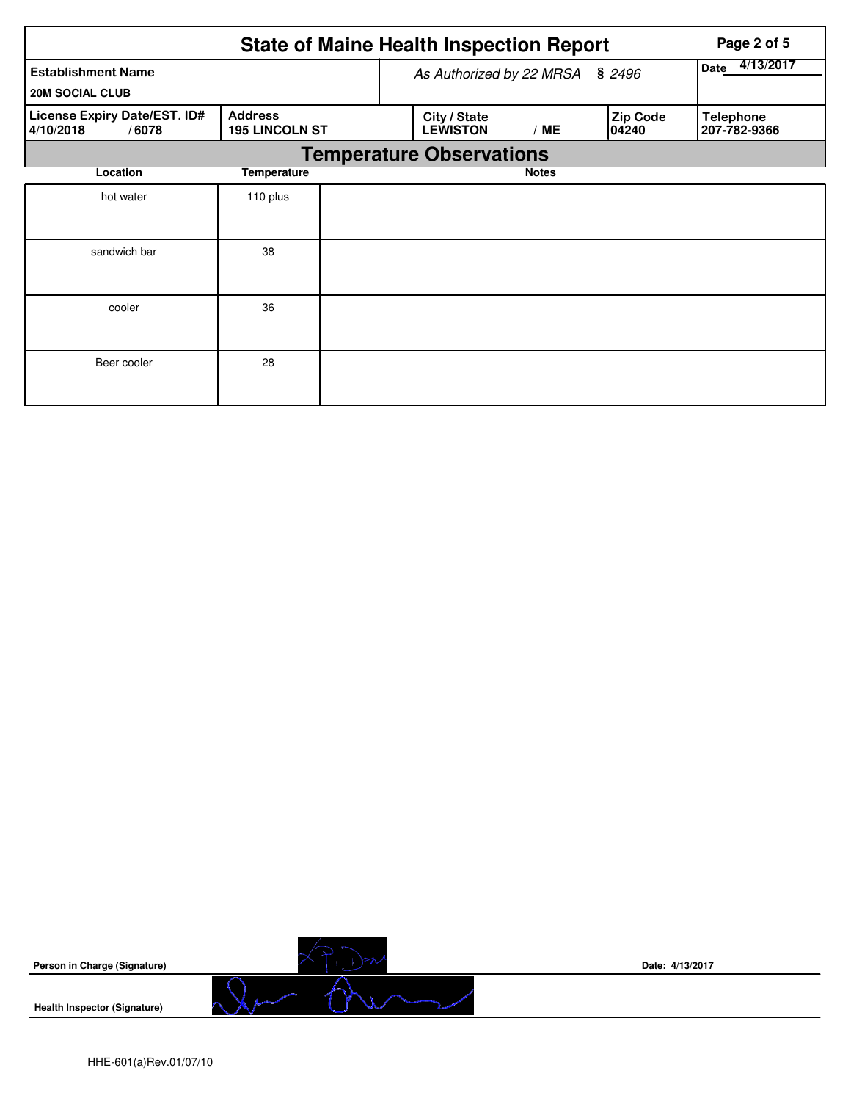|                                                    | Page 2 of 5                             |                                 |                                 |              |                          |                                  |  |  |  |  |  |
|----------------------------------------------------|-----------------------------------------|---------------------------------|---------------------------------|--------------|--------------------------|----------------------------------|--|--|--|--|--|
| <b>Establishment Name</b>                          |                                         | As Authorized by 22 MRSA § 2496 | 4/13/2017<br><b>Date</b>        |              |                          |                                  |  |  |  |  |  |
| <b>20M SOCIAL CLUB</b>                             |                                         |                                 |                                 |              |                          |                                  |  |  |  |  |  |
| License Expiry Date/EST. ID#<br>4/10/2018<br>/6078 | <b>Address</b><br><b>195 LINCOLN ST</b> |                                 | City / State<br><b>LEWISTON</b> | /ME          | <b>Zip Code</b><br>04240 | <b>Telephone</b><br>207-782-9366 |  |  |  |  |  |
|                                                    | <b>Temperature Observations</b>         |                                 |                                 |              |                          |                                  |  |  |  |  |  |
| Location                                           | <b>Temperature</b>                      |                                 |                                 | <b>Notes</b> |                          |                                  |  |  |  |  |  |
| hot water                                          | 110 plus                                |                                 |                                 |              |                          |                                  |  |  |  |  |  |
| sandwich bar                                       | 38                                      |                                 |                                 |              |                          |                                  |  |  |  |  |  |
| cooler                                             | 36                                      |                                 |                                 |              |                          |                                  |  |  |  |  |  |
| Beer cooler                                        | 28                                      |                                 |                                 |              |                          |                                  |  |  |  |  |  |

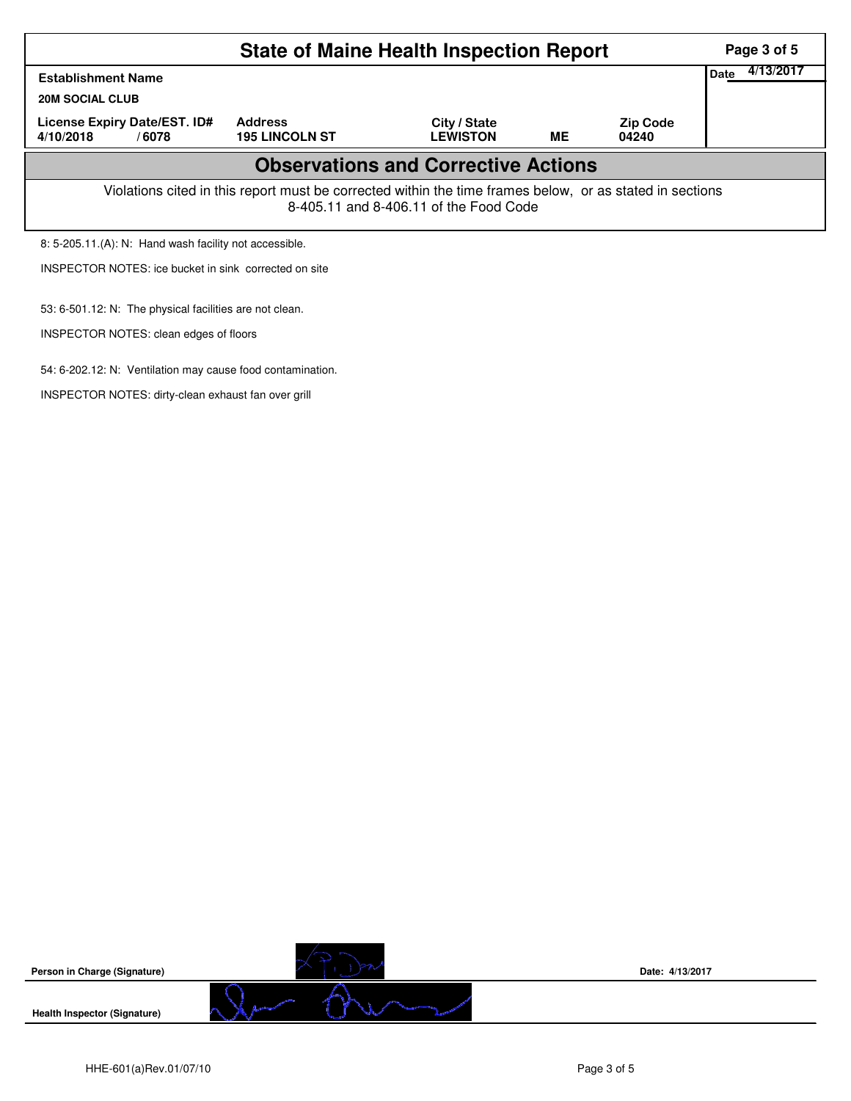|                                                                                                                                                    | Page 3 of 5       |  |  |  |  |  |  |  |  |  |
|----------------------------------------------------------------------------------------------------------------------------------------------------|-------------------|--|--|--|--|--|--|--|--|--|
| <b>Establishment Name</b>                                                                                                                          | 4/13/2017<br>Date |  |  |  |  |  |  |  |  |  |
| <b>20M SOCIAL CLUB</b>                                                                                                                             |                   |  |  |  |  |  |  |  |  |  |
| License Expiry Date/EST. ID#<br>4/10/2018<br>/6078                                                                                                 |                   |  |  |  |  |  |  |  |  |  |
| <b>Observations and Corrective Actions</b>                                                                                                         |                   |  |  |  |  |  |  |  |  |  |
| Violations cited in this report must be corrected within the time frames below, or as stated in sections<br>8-405.11 and 8-406.11 of the Food Code |                   |  |  |  |  |  |  |  |  |  |
| 8: 5-205.11.(A): N: Hand wash facility not accessible.                                                                                             |                   |  |  |  |  |  |  |  |  |  |
| INSPECTOR NOTES: ice bucket in sink corrected on site                                                                                              |                   |  |  |  |  |  |  |  |  |  |
| 53: 6-501.12: N: The physical facilities are not clean.                                                                                            |                   |  |  |  |  |  |  |  |  |  |



INSPECTOR NOTES: clean edges of floors

54: 6-202.12: N: Ventilation may cause food contamination.

INSPECTOR NOTES: dirty-clean exhaust fan over grill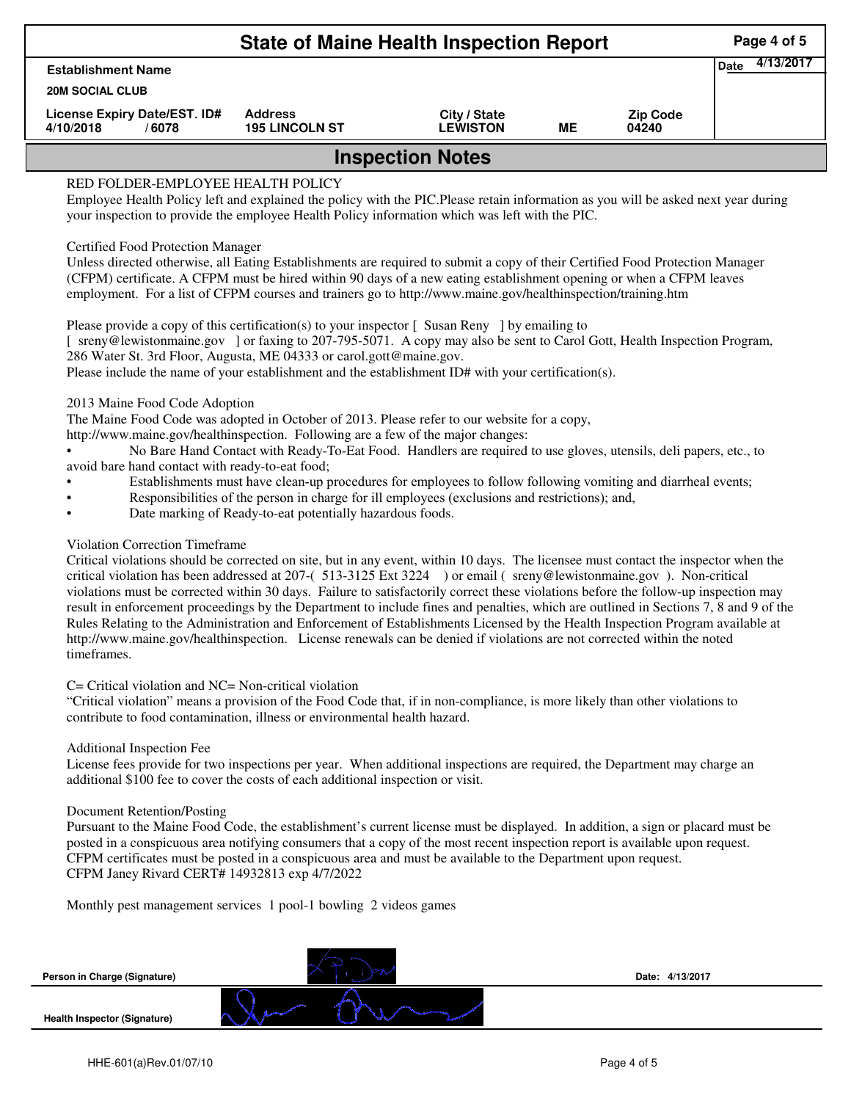|                                                    | <b>State of Maine Health Inspection Report</b> | Page 4 of 5                     |    |                          |  |  |  |  |
|----------------------------------------------------|------------------------------------------------|---------------------------------|----|--------------------------|--|--|--|--|
| <b>Establishment Name</b>                          |                                                | 4/13/2017<br>Date               |    |                          |  |  |  |  |
| <b>20M SOCIAL CLUB</b>                             |                                                |                                 |    |                          |  |  |  |  |
| License Expiry Date/EST. ID#<br>4/10/2018<br>/6078 | <b>Address</b><br><b>195 LINCOLN ST</b>        | City / State<br><b>LEWISTON</b> | MЕ | <b>Zip Code</b><br>04240 |  |  |  |  |
| <b>Inspection Notes</b>                            |                                                |                                 |    |                          |  |  |  |  |

# RED FOLDER-EMPLOYEE HEALTH POLICY

Employee Health Policy left and explained the policy with the PIC.Please retain information as you will be asked next year during your inspection to provide the employee Health Policy information which was left with the PIC.

## Certified Food Protection Manager

Unless directed otherwise, all Eating Establishments are required to submit a copy of their Certified Food Protection Manager (CFPM) certificate. A CFPM must be hired within 90 days of a new eating establishment opening or when a CFPM leaves employment. For a list of CFPM courses and trainers go to http://www.maine.gov/healthinspection/training.htm

Please provide a copy of this certification(s) to your inspector [Susan Reny ] by emailing to [ sreny@lewistonmaine.gov ] or faxing to 207-795-5071. A copy may also be sent to Carol Gott, Health Inspection Program, 286 Water St. 3rd Floor, Augusta, ME 04333 or carol.gott@maine.gov.

Please include the name of your establishment and the establishment ID# with your certification(s).

2013 Maine Food Code Adoption

The Maine Food Code was adopted in October of 2013. Please refer to our website for a copy,

http://www.maine.gov/healthinspection. Following are a few of the major changes:

• No Bare Hand Contact with Ready-To-Eat Food. Handlers are required to use gloves, utensils, deli papers, etc., to avoid bare hand contact with ready-to-eat food;

- Establishments must have clean-up procedures for employees to follow following vomiting and diarrheal events;
- Responsibilities of the person in charge for ill employees (exclusions and restrictions); and,
- Date marking of Ready-to-eat potentially hazardous foods.

## Violation Correction Timeframe

Critical violations should be corrected on site, but in any event, within 10 days. The licensee must contact the inspector when the critical violation has been addressed at 207-( 513-3125 Ext 3224 ) or email ( sreny@lewistonmaine.gov ). Non-critical violations must be corrected within 30 days. Failure to satisfactorily correct these violations before the follow-up inspection may result in enforcement proceedings by the Department to include fines and penalties, which are outlined in Sections 7, 8 and 9 of the Rules Relating to the Administration and Enforcement of Establishments Licensed by the Health Inspection Program available at http://www.maine.gov/healthinspection. License renewals can be denied if violations are not corrected within the noted timeframes.

## C= Critical violation and NC= Non-critical violation

"Critical violation" means a provision of the Food Code that, if in non-compliance, is more likely than other violations to contribute to food contamination, illness or environmental health hazard.

## Additional Inspection Fee

License fees provide for two inspections per year. When additional inspections are required, the Department may charge an additional \$100 fee to cover the costs of each additional inspection or visit.

## Document Retention/Posting

Pursuant to the Maine Food Code, the establishment's current license must be displayed. In addition, a sign or placard must be posted in a conspicuous area notifying consumers that a copy of the most recent inspection report is available upon request. CFPM certificates must be posted in a conspicuous area and must be available to the Department upon request. CFPM Janey Rivard CERT# 14932813 exp 4/7/2022

Monthly pest management services 1 pool-1 bowling 2 videos games